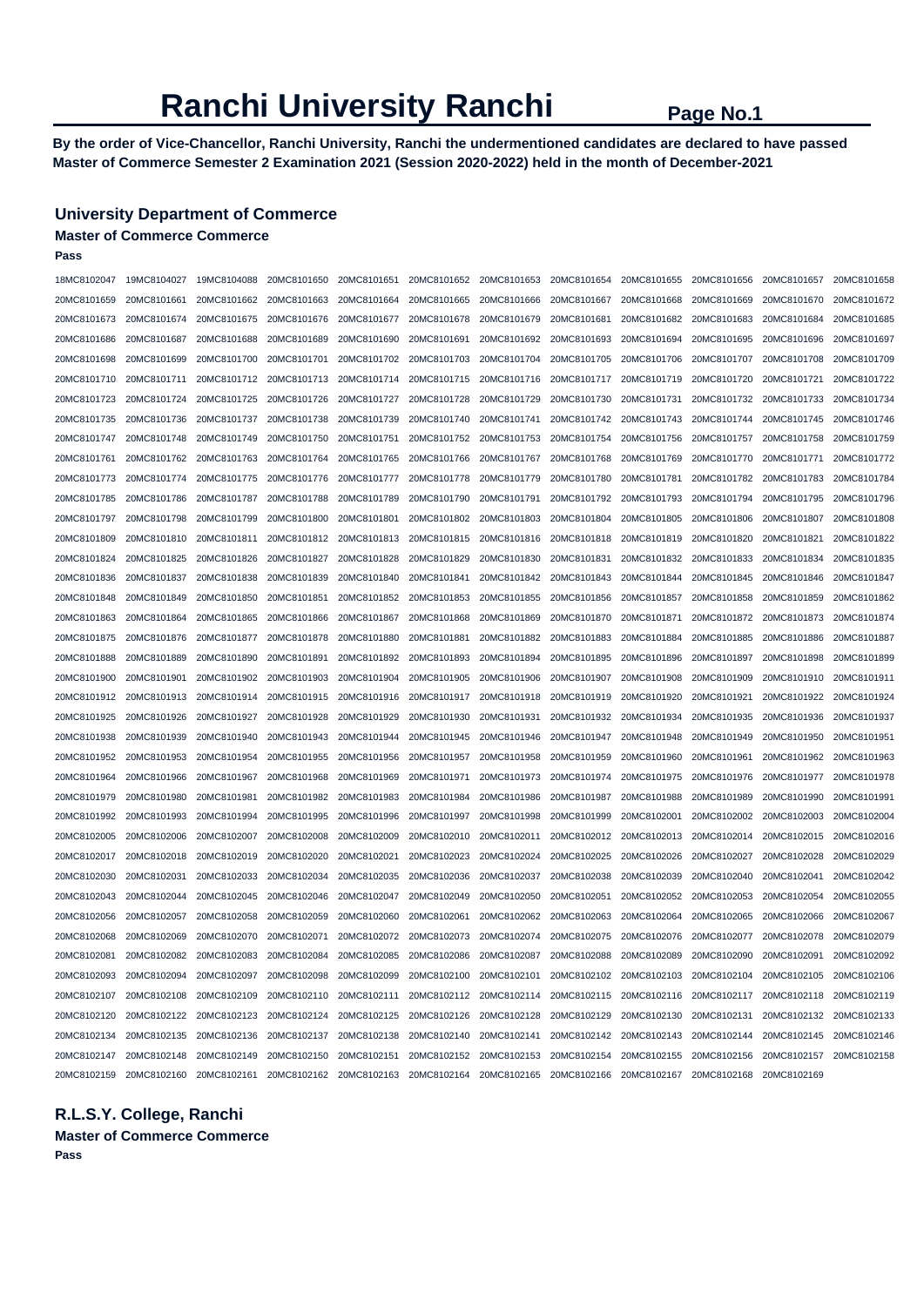**By the order of Vice-Chancellor, Ranchi University, Ranchi the undermentioned candidates are declared to have passed Master of Commerce Semester 2 Examination 2021 (Session 2020-2022) held in the month of December-2021** 

### **University Department of Commerce**

# **Master of Commerce Commerce**

**Pass** 

| 18MC8102047 | 19MC8104027                                                                                                                         | 19MC8104088 | 20MC8101650             | 20MC8101651             | 20MC8101652 | 20MC8101653 20MC8101654             |             | 20MC8101655 | 20MC8101656 | 20MC8101657             | 20MC8101658 |
|-------------|-------------------------------------------------------------------------------------------------------------------------------------|-------------|-------------------------|-------------------------|-------------|-------------------------------------|-------------|-------------|-------------|-------------------------|-------------|
| 20MC8101659 | 20MC8101661                                                                                                                         | 20MC8101662 | 20MC8101663             | 20MC8101664             | 20MC8101665 | 20MC8101666                         | 20MC8101667 | 20MC8101668 | 20MC8101669 | 20MC8101670             | 20MC8101672 |
| 20MC8101673 | 20MC8101674                                                                                                                         | 20MC8101675 | 20MC8101676             | 20MC8101677             | 20MC8101678 | 20MC8101679                         | 20MC8101681 | 20MC8101682 | 20MC8101683 | 20MC8101684             | 20MC8101685 |
| 20MC8101686 | 20MC8101687                                                                                                                         | 20MC8101688 | 20MC8101689             | 20MC8101690             | 20MC8101691 | 20MC8101692                         | 20MC8101693 | 20MC8101694 | 20MC8101695 | 20MC8101696             | 20MC8101697 |
| 20MC8101698 | 20MC8101699                                                                                                                         | 20MC8101700 | 20MC8101701             | 20MC8101702             | 20MC8101703 | 20MC8101704                         | 20MC8101705 | 20MC8101706 | 20MC8101707 | 20MC8101708             | 20MC8101709 |
| 20MC8101710 | 20MC8101711                                                                                                                         | 20MC8101712 | 20MC8101713             | 20MC8101714             | 20MC8101715 | 20MC8101716                         | 20MC8101717 | 20MC8101719 | 20MC8101720 | 20MC8101721             | 20MC8101722 |
| 20MC8101723 | 20MC8101724                                                                                                                         | 20MC8101725 | 20MC8101726             | 20MC8101727             | 20MC8101728 | 20MC8101729                         | 20MC8101730 | 20MC8101731 | 20MC8101732 | 20MC8101733             | 20MC8101734 |
| 20MC8101735 | 20MC8101736                                                                                                                         | 20MC8101737 | 20MC8101738             | 20MC8101739             | 20MC8101740 | 20MC8101741                         | 20MC8101742 | 20MC8101743 | 20MC8101744 | 20MC8101745             | 20MC8101746 |
| 20MC8101747 | 20MC8101748                                                                                                                         | 20MC8101749 | 20MC8101750             | 20MC8101751             | 20MC8101752 | 20MC8101753                         | 20MC8101754 | 20MC8101756 | 20MC8101757 | 20MC8101758             | 20MC8101759 |
| 20MC8101761 | 20MC8101762                                                                                                                         | 20MC8101763 | 20MC8101764             | 20MC8101765             | 20MC8101766 | 20MC8101767                         | 20MC8101768 | 20MC8101769 | 20MC8101770 | 20MC8101771             | 20MC8101772 |
| 20MC8101773 | 20MC8101774                                                                                                                         | 20MC8101775 | 20MC8101776             | 20MC8101777             | 20MC8101778 | 20MC8101779                         | 20MC8101780 | 20MC8101781 | 20MC8101782 | 20MC8101783             | 20MC8101784 |
| 20MC8101785 | 20MC8101786                                                                                                                         | 20MC8101787 | 20MC8101788             | 20MC8101789             | 20MC8101790 | 20MC8101791                         | 20MC8101792 | 20MC8101793 | 20MC8101794 | 20MC8101795             | 20MC8101796 |
| 20MC8101797 | 20MC8101798                                                                                                                         | 20MC8101799 | 20MC8101800             | 20MC8101801             | 20MC8101802 | 20MC8101803                         | 20MC8101804 | 20MC8101805 | 20MC8101806 | 20MC8101807             | 20MC8101808 |
| 20MC8101809 | 20MC8101810                                                                                                                         | 20MC8101811 | 20MC8101812             | 20MC8101813             | 20MC8101815 | 20MC8101816                         | 20MC8101818 | 20MC8101819 | 20MC8101820 | 20MC8101821             | 20MC8101822 |
| 20MC8101824 | 20MC8101825                                                                                                                         | 20MC8101826 | 20MC8101827             | 20MC8101828             | 20MC8101829 | 20MC8101830                         | 20MC8101831 | 20MC8101832 | 20MC8101833 | 20MC8101834             | 20MC8101835 |
| 20MC8101836 | 20MC8101837                                                                                                                         | 20MC8101838 | 20MC8101839             | 20MC8101840             | 20MC8101841 | 20MC8101842                         | 20MC8101843 | 20MC8101844 | 20MC8101845 | 20MC8101846             | 20MC8101847 |
| 20MC8101848 | 20MC8101849                                                                                                                         | 20MC8101850 | 20MC8101851             | 20MC8101852             | 20MC8101853 | 20MC8101855                         | 20MC8101856 | 20MC8101857 | 20MC8101858 | 20MC8101859             | 20MC8101862 |
| 20MC8101863 | 20MC8101864                                                                                                                         | 20MC8101865 | 20MC8101866             | 20MC8101867             | 20MC8101868 | 20MC8101869                         | 20MC8101870 | 20MC8101871 | 20MC8101872 | 20MC8101873             | 20MC8101874 |
| 20MC8101875 | 20MC8101876                                                                                                                         | 20MC8101877 | 20MC8101878             | 20MC8101880             | 20MC8101881 | 20MC8101882                         | 20MC8101883 | 20MC8101884 | 20MC8101885 | 20MC8101886             | 20MC8101887 |
| 20MC8101888 | 20MC8101889                                                                                                                         | 20MC8101890 | 20MC8101891             | 20MC8101892             | 20MC8101893 | 20MC8101894                         | 20MC8101895 | 20MC8101896 | 20MC8101897 | 20MC8101898             | 20MC8101899 |
| 20MC8101900 | 20MC8101901                                                                                                                         | 20MC8101902 | 20MC8101903             | 20MC8101904             | 20MC8101905 | 20MC8101906                         | 20MC8101907 | 20MC8101908 | 20MC8101909 | 20MC8101910             | 20MC8101911 |
| 20MC8101912 | 20MC8101913                                                                                                                         | 20MC8101914 | 20MC8101915             | 20MC8101916             | 20MC8101917 | 20MC8101918                         | 20MC8101919 | 20MC8101920 | 20MC8101921 | 20MC8101922             | 20MC8101924 |
| 20MC8101925 | 20MC8101926                                                                                                                         | 20MC8101927 | 20MC8101928             | 20MC8101929             | 20MC8101930 | 20MC8101931                         | 20MC8101932 | 20MC8101934 | 20MC8101935 | 20MC8101936             | 20MC8101937 |
| 20MC8101938 | 20MC8101939                                                                                                                         | 20MC8101940 | 20MC8101943             | 20MC8101944             | 20MC8101945 | 20MC8101946                         | 20MC8101947 | 20MC8101948 | 20MC8101949 | 20MC8101950             | 20MC8101951 |
| 20MC8101952 | 20MC8101953                                                                                                                         | 20MC8101954 | 20MC8101955             | 20MC8101956             | 20MC8101957 | 20MC8101958                         | 20MC8101959 | 20MC8101960 | 20MC8101961 | 20MC8101962             | 20MC8101963 |
| 20MC8101964 | 20MC8101966                                                                                                                         | 20MC8101967 | 20MC8101968             | 20MC8101969             | 20MC8101971 | 20MC8101973                         | 20MC8101974 | 20MC8101975 | 20MC8101976 | 20MC8101977             | 20MC8101978 |
| 20MC8101979 | 20MC8101980                                                                                                                         | 20MC8101981 | 20MC8101982             | 20MC8101983             | 20MC8101984 | 20MC8101986                         | 20MC8101987 | 20MC8101988 | 20MC8101989 | 20MC8101990             | 20MC8101991 |
| 20MC8101992 | 20MC8101993                                                                                                                         | 20MC8101994 | 20MC8101995             | 20MC8101996             | 20MC8101997 | 20MC8101998                         | 20MC8101999 | 20MC8102001 | 20MC8102002 | 20MC8102003             | 20MC8102004 |
| 20MC8102005 | 20MC8102006                                                                                                                         | 20MC8102007 | 20MC8102008             | 20MC8102009             | 20MC8102010 | 20MC8102011                         | 20MC8102012 | 20MC8102013 | 20MC8102014 | 20MC8102015             | 20MC8102016 |
| 20MC8102017 | 20MC8102018                                                                                                                         | 20MC8102019 | 20MC8102020             | 20MC8102021             | 20MC8102023 | 20MC8102024                         | 20MC8102025 | 20MC8102026 | 20MC8102027 | 20MC8102028             | 20MC8102029 |
| 20MC8102030 | 20MC8102031                                                                                                                         | 20MC8102033 | 20MC8102034             | 20MC8102035             | 20MC8102036 | 20MC8102037                         | 20MC8102038 | 20MC8102039 | 20MC8102040 | 20MC8102041             | 20MC8102042 |
| 20MC8102043 | 20MC8102044                                                                                                                         | 20MC8102045 | 20MC8102046             | 20MC8102047             | 20MC8102049 | 20MC8102050                         | 20MC8102051 | 20MC8102052 | 20MC8102053 | 20MC8102054             | 20MC8102055 |
| 20MC8102056 | 20MC8102057                                                                                                                         | 20MC8102058 | 20MC8102059             | 20MC8102060             | 20MC8102061 | 20MC8102062                         | 20MC8102063 | 20MC8102064 | 20MC8102065 | 20MC8102066             | 20MC8102067 |
| 20MC8102068 | 20MC8102069                                                                                                                         | 20MC8102070 | 20MC8102071             | 20MC8102072             | 20MC8102073 | 20MC8102074                         | 20MC8102075 | 20MC8102076 | 20MC8102077 | 20MC8102078             | 20MC8102079 |
| 20MC8102081 | 20MC8102082                                                                                                                         | 20MC8102083 | 20MC8102084             | 20MC8102085             | 20MC8102086 | 20MC8102087                         | 20MC8102088 | 20MC8102089 | 20MC8102090 | 20MC8102091             | 20MC8102092 |
| 20MC8102093 | 20MC8102094                                                                                                                         | 20MC8102097 | 20MC8102098 20MC8102099 |                         | 20MC8102100 | 20MC8102101                         | 20MC8102102 | 20MC8102103 | 20MC8102104 | 20MC8102105 20MC8102106 |             |
| 20MC8102107 | 20MC8102108                                                                                                                         | 20MC8102109 | 20MC8102110             | 20MC8102111             |             | 20MC8102112 20MC8102114 20MC8102115 |             | 20MC8102116 | 20MC8102117 | 20MC8102118             | 20MC8102119 |
|             | 20MC8102120 20MC8102122 20MC8102123                                                                                                 |             |                         |                         |             |                                     |             | 20MC8102130 | 20MC8102131 | 20MC8102132 20MC8102133 |             |
|             | 20MC8102134 20MC8102135 20MC8102136                                                                                                 |             |                         | 20MC8102137 20MC8102138 | 20MC8102140 |                                     |             |             |             | 20MC8102145             | 20MC8102146 |
|             | 20MC8102147 20MC8102148                                                                                                             | 20MC8102149 | 20MC8102150             | 20MC8102151             | 20MC8102152 | 20MC8102153 20MC8102154 20MC8102155 |             |             | 20MC8102156 | 20MC8102157             | 20MC8102158 |
|             | 20MC8102159 20MC8102160 20MC8102161 20MC8102162 20MC8102163 20MC8102164 20MC8102165 20MC8102166 20MC8102167 20MC8102168 20MC8102169 |             |                         |                         |             |                                     |             |             |             |                         |             |

**R.L.S.Y. College, Ranchi** 

**Master of Commerce Commerce** 

**Pass**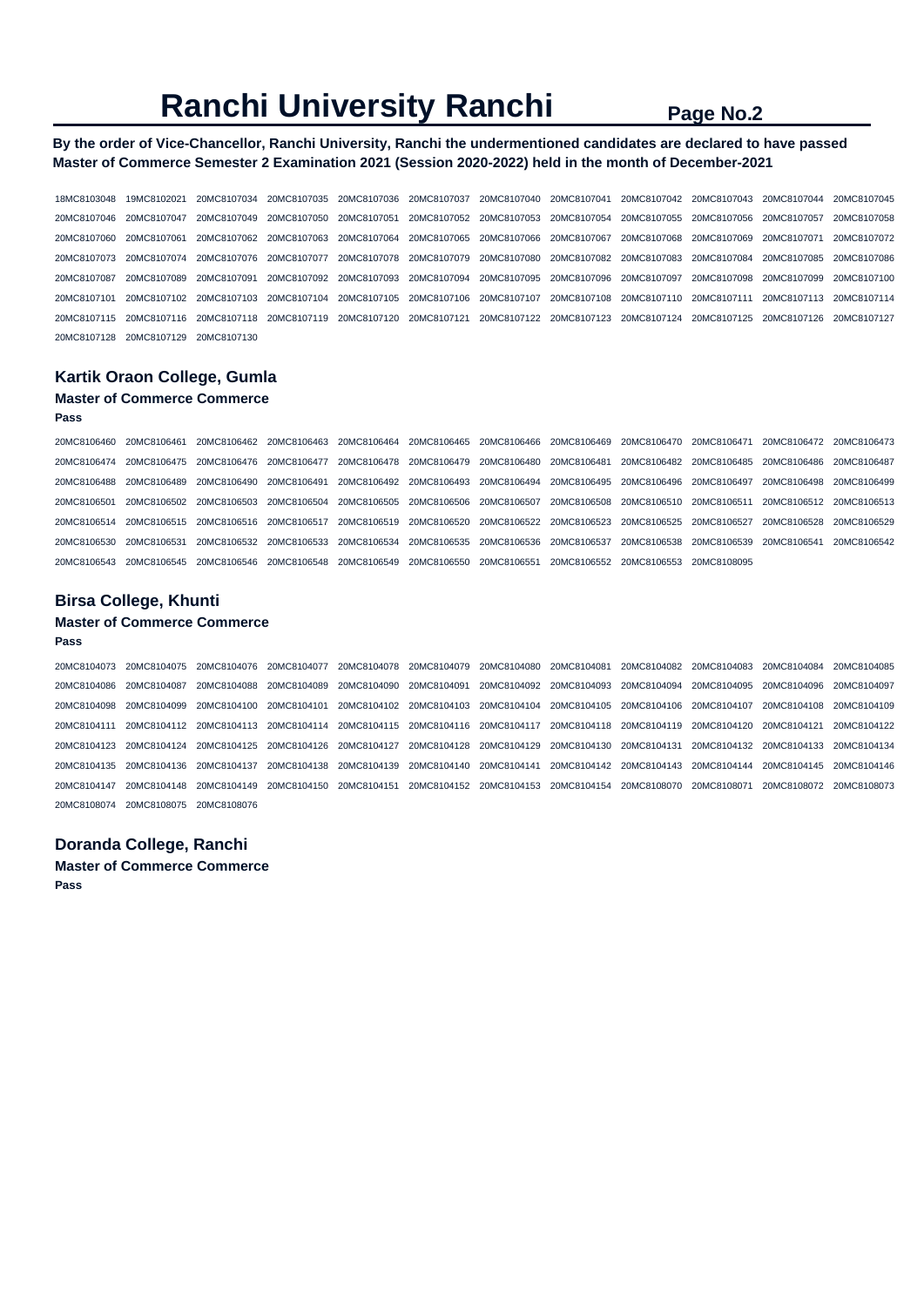### **By the order of Vice-Chancellor, Ranchi University, Ranchi the undermentioned candidates are declared to have passed Master of Commerce Semester 2 Examination 2021 (Session 2020-2022) held in the month of December-2021**

18MC8103048 19MC8102021 20MC8107034 20MC8107035 20MC8107036 20MC8107037 20MC8107040 20MC8107041 20MC8107042 20MC8107043 20MC8107044 20MC8107045 20MC8107046 20MC8107047 20MC8107049 20MC8107050 20MC8107051 20MC8107052 20MC8107053 20MC8107054 20MC8107055 20MC8107056 20MC8107057 20MC8107058 20MC8107060 20MC8107061 20MC8107062 20MC8107063 20MC8107064 20MC8107065 20MC8107066 20MC8107067 20MC8107068 20MC8107069 20MC8107071 20MC8107072 20MC8107073 20MC8107074 20MC8107076 20MC8107077 20MC8107078 20MC8107079 20MC8107080 20MC8107082 20MC8107083 20MC8107084 20MC8107085 20MC8107086 20MC8107087 20MC8107089 20MC8107091 20MC8107092 20MC8107093 20MC8107094 20MC8107095 20MC8107096 20MC8107097 20MC8107098 20MC8107099 20MC8107100 20MC8107101 20MC8107102 20MC8107103 20MC8107104 20MC8107105 20MC8107106 20MC8107107 20MC8107108 20MC8107110 20MC8107111 20MC8107113 20MC8107114 20MC8107115 20MC8107116 20MC8107118 20MC8107119 20MC8107120 20MC8107121 20MC8107122 20MC8107123 20MC8107124 20MC8107125 20MC8107126 20MC8107127 20MC8107128 20MC8107129 20MC8107130

## **Kartik Oraon College, Gumla**

## **Master of Commerce Commerce**

#### **Pass**

20MC8106460 20MC8106461 20MC8106462 20MC8106463 20MC8106464 20MC8106465 20MC8106466 20MC8106469 20MC8106470 20MC8106471 20MC8106472 20MC8106473 20MC8106474 20MC8106475 20MC8106476 20MC8106477 20MC8106478 20MC8106479 20MC8106480 20MC8106481 20MC8106482 20MC8106485 20MC8106486 20MC8106487 20MC8106488 20MC8106489 20MC8106490 20MC8106491 20MC8106492 20MC8106493 20MC8106494 20MC8106495 20MC8106496 20MC8106497 20MC8106498 20MC8106499 20MC8106501 20MC8106502 20MC8106503 20MC8106504 20MC8106505 20MC8106506 20MC8106507 20MC8106508 20MC8106510 20MC8106511 20MC8106512 20MC8106513 20MC8106514 20MC8106515 20MC8106516 20MC8106517 20MC8106519 20MC8106520 20MC8106522 20MC8106523 20MC8106525 20MC8106527 20MC8106528 20MC8106529 20MC8106530 20MC8106531 20MC8106532 20MC8106533 20MC8106534 20MC8106535 20MC8106536 20MC8106537 20MC8106538 20MC8106539 20MC8106541 20MC8106542 20MC8106543 20MC8106545 20MC8106546 20MC8106548 20MC8106549 20MC8106550 20MC8106551 20MC8106552 20MC8106553 20MC8108095

## **Birsa College, Khunti**

### **Master of Commerce Commerce**

**Pass** 

20MC8104073 20MC8104075 20MC8104076 20MC8104077 20MC8104078 20MC8104079 20MC8104080 20MC8104081 20MC8104082 20MC8104083 20MC8104084 20MC8104085 20MC8104086 20MC8104087 20MC8104088 20MC8104089 20MC8104090 20MC8104091 20MC8104092 20MC8104093 20MC8104094 20MC8104095 20MC8104096 20MC8104097 20MC8104098 20MC8104099 20MC8104100 20MC8104101 20MC8104102 20MC8104103 20MC8104104 20MC8104105 20MC8104106 20MC8104107 20MC8104108 20MC8104109 20MC8104111 20MC8104112 20MC8104113 20MC8104114 20MC8104115 20MC8104116 20MC8104117 20MC8104118 20MC8104119 20MC8104120 20MC8104121 20MC8104122 20MC8104123 20MC8104124 20MC8104125 20MC8104126 20MC8104127 20MC8104128 20MC8104129 20MC8104130 20MC8104131 20MC8104132 20MC8104133 20MC8104134 20MC8104135 20MC8104136 20MC8104137 20MC8104138 20MC8104139 20MC8104140 20MC8104141 20MC8104142 20MC8104143 20MC8104144 20MC8104145 20MC8104146 20MC8104147 20MC8104148 20MC8104149 20MC8104150 20MC8104151 20MC8104152 20MC8104153 20MC8104154 20MC8108070 20MC8108071 20MC8108072 20MC8108073 20MC8108074 20MC8108075 20MC8108076

## **Doranda College, Ranchi**

**Master of Commerce Commerce** 

**Pass**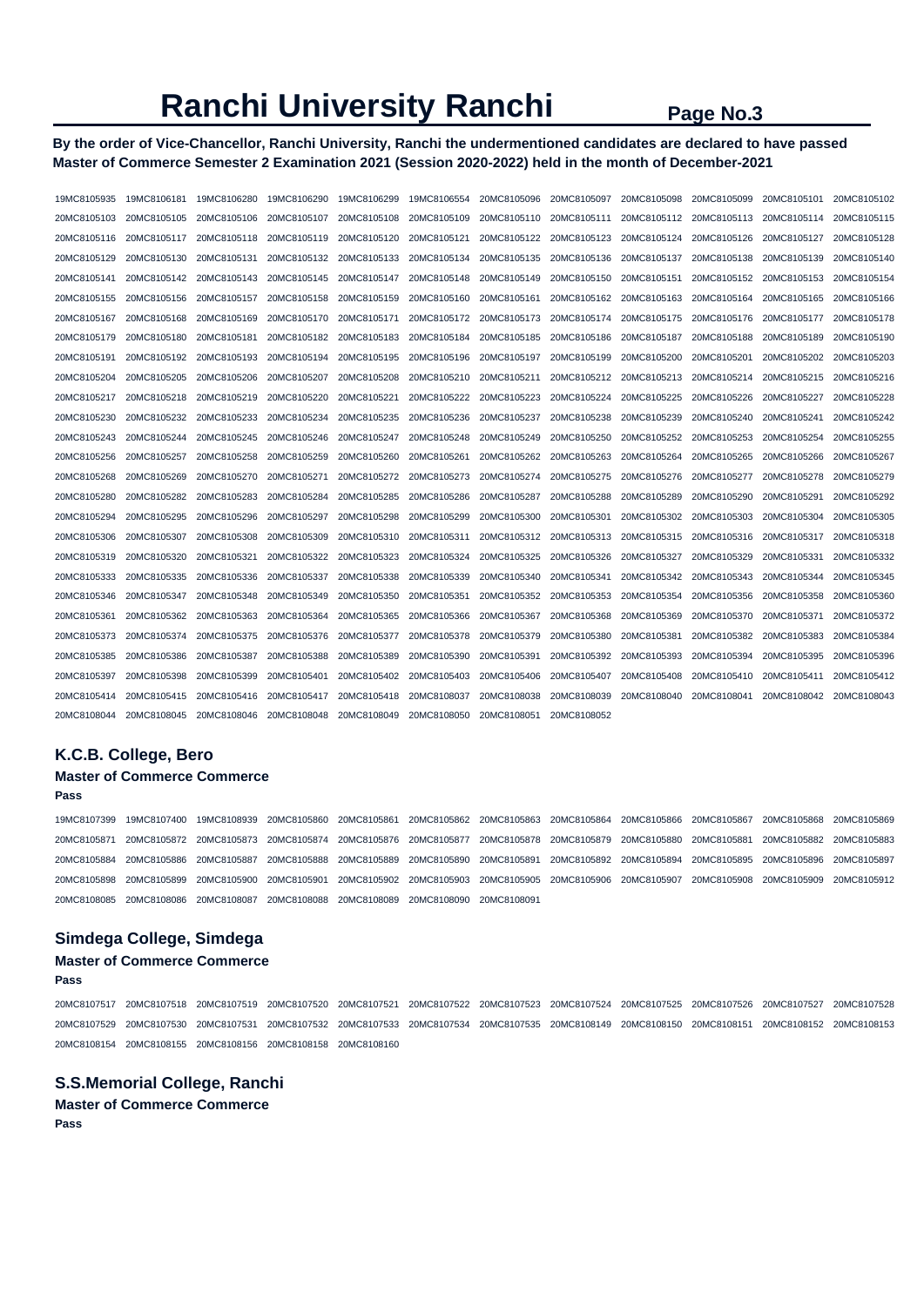**By the order of Vice-Chancellor, Ranchi University, Ranchi the undermentioned candidates are declared to have passed Master of Commerce Semester 2 Examination 2021 (Session 2020-2022) held in the month of December-2021** 

| 19MC8105935 | 19MC8106181 | 19MC8106280             | 19MC8106290 | 19MC8106299 | 19MC8106554 | 20MC8105096 | 20MC8105097             | 20MC8105098 | 20MC8105099 | 20MC8105101 | 20MC8105102 |
|-------------|-------------|-------------------------|-------------|-------------|-------------|-------------|-------------------------|-------------|-------------|-------------|-------------|
| 20MC8105103 | 20MC8105105 | 20MC8105106             | 20MC8105107 | 20MC8105108 | 20MC8105109 | 20MC8105110 | 20MC8105111             | 20MC8105112 | 20MC8105113 | 20MC8105114 | 20MC8105115 |
| 20MC8105116 | 20MC8105117 | 20MC8105118             | 20MC8105119 | 20MC8105120 | 20MC8105121 | 20MC8105122 | 20MC8105123             | 20MC8105124 | 20MC8105126 | 20MC8105127 | 20MC8105128 |
| 20MC8105129 | 20MC8105130 | 20MC8105131             | 20MC8105132 | 20MC8105133 | 20MC8105134 | 20MC8105135 | 20MC8105136             | 20MC8105137 | 20MC8105138 | 20MC8105139 | 20MC8105140 |
| 20MC8105141 | 20MC8105142 | 20MC8105143             | 20MC8105145 | 20MC8105147 | 20MC8105148 | 20MC8105149 | 20MC8105150             | 20MC8105151 | 20MC8105152 | 20MC8105153 | 20MC8105154 |
| 20MC8105155 | 20MC8105156 | 20MC8105157             | 20MC8105158 | 20MC8105159 | 20MC8105160 | 20MC8105161 | 20MC8105162             | 20MC8105163 | 20MC8105164 | 20MC8105165 | 20MC8105166 |
| 20MC8105167 | 20MC8105168 | 20MC8105169             | 20MC8105170 | 20MC8105171 | 20MC8105172 | 20MC8105173 | 20MC8105174             | 20MC8105175 | 20MC8105176 | 20MC8105177 | 20MC8105178 |
| 20MC8105179 | 20MC8105180 | 20MC8105181             | 20MC8105182 | 20MC8105183 | 20MC8105184 | 20MC8105185 | 20MC8105186             | 20MC8105187 | 20MC8105188 | 20MC8105189 | 20MC8105190 |
| 20MC8105191 | 20MC8105192 | 20MC8105193             | 20MC8105194 | 20MC8105195 | 20MC8105196 | 20MC8105197 | 20MC8105199             | 20MC8105200 | 20MC8105201 | 20MC8105202 | 20MC8105203 |
| 20MC8105204 | 20MC8105205 | 20MC8105206             | 20MC8105207 | 20MC8105208 | 20MC8105210 | 20MC8105211 | 20MC8105212             | 20MC8105213 | 20MC8105214 | 20MC8105215 | 20MC8105216 |
| 20MC8105217 | 20MC8105218 | 20MC8105219             | 20MC8105220 | 20MC8105221 | 20MC8105222 | 20MC8105223 | 20MC8105224             | 20MC8105225 | 20MC8105226 | 20MC8105227 | 20MC8105228 |
| 20MC8105230 | 20MC8105232 | 20MC8105233             | 20MC8105234 | 20MC8105235 | 20MC8105236 | 20MC8105237 | 20MC8105238             | 20MC8105239 | 20MC8105240 | 20MC8105241 | 20MC8105242 |
| 20MC8105243 | 20MC8105244 | 20MC8105245             | 20MC8105246 | 20MC8105247 | 20MC8105248 | 20MC8105249 | 20MC8105250             | 20MC8105252 | 20MC8105253 | 20MC8105254 | 20MC8105255 |
| 20MC8105256 | 20MC8105257 | 20MC8105258             | 20MC8105259 | 20MC8105260 | 20MC8105261 | 20MC8105262 | 20MC8105263             | 20MC8105264 | 20MC8105265 | 20MC8105266 | 20MC8105267 |
| 20MC8105268 | 20MC8105269 | 20MC8105270             | 20MC8105271 | 20MC8105272 | 20MC8105273 | 20MC8105274 | 20MC8105275             | 20MC8105276 | 20MC8105277 | 20MC8105278 | 20MC8105279 |
| 20MC8105280 | 20MC8105282 | 20MC8105283             | 20MC8105284 | 20MC8105285 | 20MC8105286 | 20MC8105287 | 20MC8105288             | 20MC8105289 | 20MC8105290 | 20MC8105291 | 20MC8105292 |
| 20MC8105294 | 20MC8105295 | 20MC8105296             | 20MC8105297 | 20MC8105298 | 20MC8105299 | 20MC8105300 | 20MC8105301             | 20MC8105302 | 20MC8105303 | 20MC8105304 | 20MC8105305 |
| 20MC8105306 | 20MC8105307 | 20MC8105308             | 20MC8105309 | 20MC8105310 | 20MC8105311 |             | 20MC8105312 20MC8105313 | 20MC8105315 | 20MC8105316 | 20MC8105317 | 20MC8105318 |
| 20MC8105319 | 20MC8105320 | 20MC8105321             | 20MC8105322 | 20MC8105323 | 20MC8105324 | 20MC8105325 | 20MC8105326             | 20MC8105327 | 20MC8105329 | 20MC8105331 | 20MC8105332 |
| 20MC8105333 | 20MC8105335 | 20MC8105336             | 20MC8105337 | 20MC8105338 | 20MC8105339 | 20MC8105340 | 20MC8105341             | 20MC8105342 | 20MC8105343 | 20MC8105344 | 20MC8105345 |
| 20MC8105346 | 20MC8105347 | 20MC8105348             | 20MC8105349 | 20MC8105350 | 20MC8105351 |             | 20MC8105352 20MC8105353 | 20MC8105354 | 20MC8105356 | 20MC8105358 | 20MC8105360 |
| 20MC8105361 | 20MC8105362 | 20MC8105363             | 20MC8105364 | 20MC8105365 | 20MC8105366 | 20MC8105367 | 20MC8105368             | 20MC8105369 | 20MC8105370 | 20MC8105371 | 20MC8105372 |
| 20MC8105373 | 20MC8105374 | 20MC8105375             | 20MC8105376 | 20MC8105377 | 20MC8105378 | 20MC8105379 | 20MC8105380             | 20MC8105381 | 20MC8105382 | 20MC8105383 | 20MC8105384 |
| 20MC8105385 | 20MC8105386 | 20MC8105387             | 20MC8105388 | 20MC8105389 | 20MC8105390 | 20MC8105391 | 20MC8105392             | 20MC8105393 | 20MC8105394 | 20MC8105395 | 20MC8105396 |
| 20MC8105397 | 20MC8105398 | 20MC8105399             | 20MC8105401 | 20MC8105402 | 20MC8105403 | 20MC8105406 | 20MC8105407             | 20MC8105408 | 20MC8105410 | 20MC8105411 | 20MC8105412 |
| 20MC8105414 | 20MC8105415 | 20MC8105416             | 20MC8105417 | 20MC8105418 | 20MC8108037 | 20MC8108038 | 20MC8108039             | 20MC8108040 | 20MC8108041 | 20MC8108042 | 20MC8108043 |
| 20MC8108044 | 20MC8108045 | 20MC8108046 20MC8108048 |             | 20MC8108049 | 20MC8108050 | 20MC8108051 | 20MC8108052             |             |             |             |             |

# **K.C.B. College, Bero**

# **Master of Commerce Commerce**

**Pass**  19MC8107399 19MC8107400 19MC8108939 20MC8105860 20MC8105861 20MC8105862 20MC8105863 20MC8105864 20MC8105866 20MC8105867 20MC8105868 20MC8105869 20MC8105871 20MC8105872 20MC8105873 20MC8105874 20MC8105876 20MC8105877 20MC8105878 20MC8105879 20MC8105880 20MC8105881 20MC8105882 20MC8105883 20MC8105884 20MC8105886 20MC8105887 20MC8105888 20MC8105889 20MC8105890 20MC8105891 20MC8105892 20MC8105894 20MC8105895 20MC8105896 20MC8105897 20MC8105898 20MC8105899 20MC8105900 20MC8105901 20MC8105902 20MC8105903 20MC8105905 20MC8105906 20MC8105907 20MC8105908 20MC8105909 20MC8105912 20MC8108085 20MC8108086 20MC8108087 20MC8108088 20MC8108089 20MC8108090 20MC8108091

#### **Simdega College, Simdega**

# **Master of Commerce Commerce**

**Pass** 

20MC8107517 20MC8107518 20MC8107519 20MC8107520 20MC8107521 20MC8107522 20MC8107523 20MC8107524 20MC8107525 20MC8107526 20MC8107527 20MC8107528 20MC8107529 20MC8107530 20MC8107531 20MC8107532 20MC8107533 20MC8107534 20MC8107535 20MC8108149 20MC8108150 20MC8108151 20MC8108152 20MC8108153 20MC8108154 20MC8108155 20MC8108156 20MC8108158 20MC8108160

## **S.S.Memorial College, Ranchi**

**Master of Commerce Commerce Pass**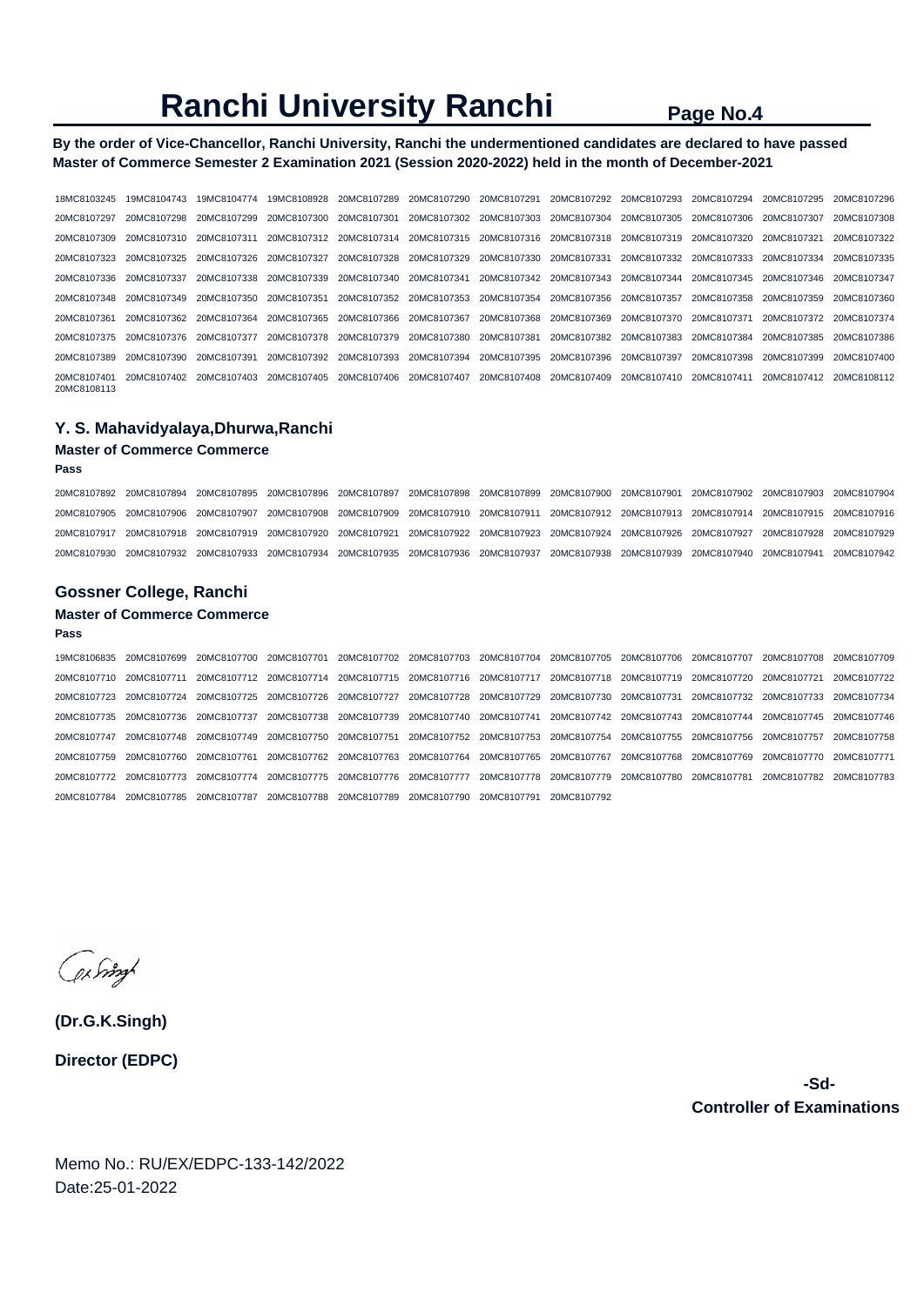**By the order of Vice-Chancellor, Ranchi University, Ranchi the undermentioned candidates are declared to have passed Master of Commerce Semester 2 Examination 2021 (Session 2020-2022) held in the month of December-2021** 

18MC8103245 19MC8104743 19MC8104774 19MC8108928 20MC8107289 20MC8107290 20MC8107291 20MC8107292 20MC8107293 20MC8107294 20MC8107295 20MC8107296 20MC8107297 20MC8107298 20MC8107299 20MC8107300 20MC8107301 20MC8107302 20MC8107303 20MC8107304 20MC8107305 20MC8107306 20MC8107307 20MC8107308 20MC8107309 20MC8107310 20MC8107311 20MC8107312 20MC8107314 20MC8107315 20MC8107316 20MC8107318 20MC8107319 20MC8107320 20MC8107321 20MC8107322 20MC8107323 20MC8107325 20MC8107326 20MC8107327 20MC8107328 20MC8107329 20MC8107330 20MC8107331 20MC8107332 20MC8107333 20MC8107334 20MC8107335 20MC8107336 20MC8107337 20MC8107338 20MC8107339 20MC8107340 20MC8107341 20MC8107342 20MC8107343 20MC8107344 20MC8107345 20MC8107346 20MC8107347 20MC8107348 20MC8107349 20MC8107350 20MC8107351 20MC8107352 20MC8107353 20MC8107354 20MC8107356 20MC8107357 20MC8107358 20MC8107359 20MC8107360 20MC8107361 20MC8107362 20MC8107364 20MC8107365 20MC8107366 20MC8107367 20MC8107368 20MC8107369 20MC8107370 20MC8107371 20MC8107372 20MC8107374 20MC8107375 20MC8107376 20MC8107377 20MC8107378 20MC8107379 20MC8107380 20MC8107381 20MC8107382 20MC8107383 20MC8107384 20MC8107385 20MC8107386 20MC8107389 20MC8107390 20MC8107391 20MC8107392 20MC8107393 20MC8107394 20MC8107395 20MC8107396 20MC8107397 20MC8107398 20MC8107399 20MC8107400 20MC8107401 20MC8107402 20MC8107403 20MC8107405 20MC8107406 20MC8107407 20MC8107408 20MC8107409 20MC8107410 20MC8107411 20MC8107412 20MC8108112 20MC8108113

#### **Y. S. Mahavidyalaya,Dhurwa,Ranchi**

## **Master of Commerce Commerce**

**Pass** 

20MC8107892 20MC8107894 20MC8107895 20MC8107896 20MC8107897 20MC8107898 20MC8107899 20MC8107900 20MC8107901 20MC8107902 20MC8107903 20MC8107904 20MC8107905 20MC8107906 20MC8107907 20MC8107908 20MC8107909 20MC8107910 20MC8107911 20MC8107912 20MC8107913 20MC8107914 20MC8107915 20MC8107916 20MC8107917 20MC8107918 20MC8107919 20MC8107920 20MC8107921 20MC8107922 20MC8107923 20MC8107924 20MC8107926 20MC8107927 20MC8107928 20MC8107929 20MC8107930 20MC8107932 20MC8107933 20MC8107934 20MC8107935 20MC8107936 20MC8107937 20MC8107938 20MC8107939 20MC8107940 20MC8107941 20MC8107942

#### **Gossner College, Ranchi**

### **Master of Commerce Commerce**

#### **Pass**

19MC8106835 20MC8107699 20MC8107700 20MC8107701 20MC8107702 20MC8107703 20MC8107704 20MC8107705 20MC8107706 20MC8107707 20MC8107708 20MC8107709 20MC8107710 20MC8107711 20MC8107712 20MC8107714 20MC8107715 20MC8107716 20MC8107717 20MC8107718 20MC8107719 20MC8107720 20MC8107721 20MC8107722 20MC8107723 20MC8107724 20MC8107725 20MC8107726 20MC8107727 20MC8107728 20MC8107729 20MC8107730 20MC8107731 20MC8107732 20MC8107733 20MC8107734 20MC8107735 20MC8107736 20MC8107737 20MC8107738 20MC8107739 20MC8107740 20MC8107741 20MC8107742 20MC8107743 20MC8107744 20MC8107745 20MC8107746 20MC8107747 20MC8107748 20MC8107749 20MC8107750 20MC8107751 20MC8107752 20MC8107753 20MC8107754 20MC8107755 20MC8107756 20MC8107757 20MC8107758 20MC8107759 20MC8107760 20MC8107761 20MC8107762 20MC8107763 20MC8107764 20MC8107765 20MC8107767 20MC8107768 20MC8107769 20MC8107770 20MC8107771 20MC8107772 20MC8107773 20MC8107774 20MC8107775 20MC8107776 20MC8107777 20MC8107778 20MC8107779 20MC8107780 20MC8107781 20MC8107782 20MC8107783 20MC8107784 20MC8107785 20MC8107787 20MC8107788 20MC8107789 20MC8107790 20MC8107791 20MC8107792

ex Singl

**(Dr.G.K.Singh) Director (EDPC)**

> **-Sd-Controller of Examinations**

Memo No.: RU/EX/EDPC-133-142/2022 Date:25-01-2022